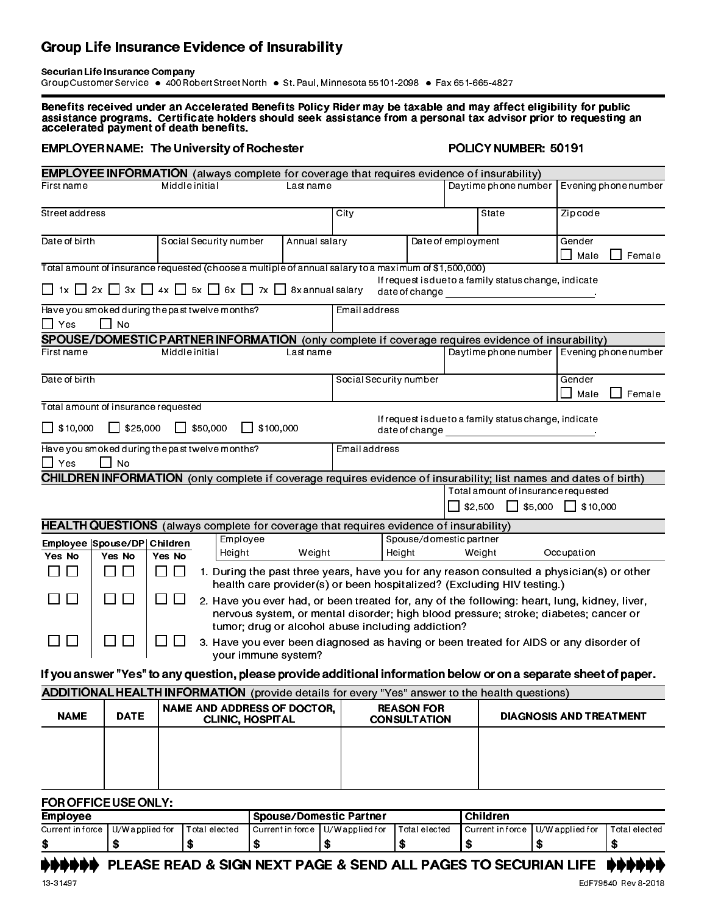## Group Life Insurance Evidence of Insurability

Securian Life Insurance Company Group Customer Service · 400 Robert Street North · St. Paul, Minnesota 55101-2098 · Fax 651-665-4827

Benefits received under an Accelerated Benefits Policy Rider may be taxable and may affect eligibility for public assistance programs. Certificate holders should seek assistance from a personal tax advisor prior to requesting an accelerated payment of death benefits.

## EMPLOYER NAME: The University of Rochester POLICY NUMBER: 50191

|                                                                                                                                    |                                                                    |                                                                                                                                                                                                          |                                                                                                                                                                               |               | <b>EMPLOYEE INFORMATION</b> (always complete for coverage that requires evidence of insurability)    |                    |  |                                                                                                                   |                                |        |  |
|------------------------------------------------------------------------------------------------------------------------------------|--------------------------------------------------------------------|----------------------------------------------------------------------------------------------------------------------------------------------------------------------------------------------------------|-------------------------------------------------------------------------------------------------------------------------------------------------------------------------------|---------------|------------------------------------------------------------------------------------------------------|--------------------|--|-------------------------------------------------------------------------------------------------------------------|--------------------------------|--------|--|
| Firstname                                                                                                                          |                                                                    | Middle initial                                                                                                                                                                                           |                                                                                                                                                                               | Lastname      | Daytime phone number                                                                                 |                    |  | Evening phone number                                                                                              |                                |        |  |
| Street address                                                                                                                     |                                                                    |                                                                                                                                                                                                          |                                                                                                                                                                               |               | City                                                                                                 |                    |  | State                                                                                                             | Zip code                       |        |  |
| Date of birth                                                                                                                      |                                                                    |                                                                                                                                                                                                          | Social Security number                                                                                                                                                        | Annual salary |                                                                                                      | Date of employment |  |                                                                                                                   | Gender<br>Male                 | Female |  |
|                                                                                                                                    |                                                                    |                                                                                                                                                                                                          |                                                                                                                                                                               |               | Total amount of insurance requested (choose a multiple of annual salary to a maximum of \$1,500,000) |                    |  |                                                                                                                   |                                |        |  |
|                                                                                                                                    |                                                                    |                                                                                                                                                                                                          | $\Box$ 1x $\Box$ 2x $\Box$ 3x $\Box$ 4x $\Box$ 5x $\Box$ 6x $\Box$ 7x $\Box$ 8x annual salary                                                                                 |               |                                                                                                      |                    |  | If request is due to a family status change, indicate                                                             |                                |        |  |
| $\Box$ Yes                                                                                                                         | $\Box$ No                                                          | Have you smoked during the past twelve months?                                                                                                                                                           |                                                                                                                                                                               |               | Email address                                                                                        |                    |  |                                                                                                                   |                                |        |  |
|                                                                                                                                    |                                                                    |                                                                                                                                                                                                          |                                                                                                                                                                               |               |                                                                                                      |                    |  | SPOUSE/DOMESTIC PARTNER INFORMATION (only complete if coverage requires evidence of insurability)                 |                                |        |  |
| First name                                                                                                                         |                                                                    | Middle initial                                                                                                                                                                                           |                                                                                                                                                                               | Lastname      |                                                                                                      |                    |  | Daytime phone number   Evening phone number                                                                       |                                |        |  |
| Date of birth                                                                                                                      |                                                                    |                                                                                                                                                                                                          |                                                                                                                                                                               |               | Social Security number                                                                               |                    |  |                                                                                                                   | Gender<br>Male                 | Female |  |
| Total amount of insurance requested                                                                                                |                                                                    |                                                                                                                                                                                                          |                                                                                                                                                                               |               |                                                                                                      |                    |  |                                                                                                                   |                                |        |  |
| If request is due to a family status change, indicate<br>$\Box$ \$10,000<br>$\Box$ \$25,000<br>$\Box$ \$50,000<br>$\Box$ \$100,000 |                                                                    |                                                                                                                                                                                                          |                                                                                                                                                                               |               |                                                                                                      |                    |  |                                                                                                                   |                                |        |  |
| Have you smoked during the past twelve months?<br>Email address<br>$\Box$ Yes<br>$\Box$ No                                         |                                                                    |                                                                                                                                                                                                          |                                                                                                                                                                               |               |                                                                                                      |                    |  |                                                                                                                   |                                |        |  |
|                                                                                                                                    |                                                                    |                                                                                                                                                                                                          |                                                                                                                                                                               |               |                                                                                                      |                    |  | CHILDREN INFORMATION (only complete if coverage requires evidence of insurability; list names and dates of birth) |                                |        |  |
|                                                                                                                                    |                                                                    |                                                                                                                                                                                                          |                                                                                                                                                                               |               |                                                                                                      |                    |  | Total amount of insurance requested                                                                               |                                |        |  |
|                                                                                                                                    |                                                                    |                                                                                                                                                                                                          |                                                                                                                                                                               |               |                                                                                                      |                    |  | $\Box$ \$2,500 $\Box$ \$5,000 $\Box$ \$10,000                                                                     |                                |        |  |
|                                                                                                                                    |                                                                    |                                                                                                                                                                                                          |                                                                                                                                                                               |               | HEALTH QUESTIONS (always complete for coverage that requires evidence of insurability)               |                    |  |                                                                                                                   |                                |        |  |
|                                                                                                                                    | Employee<br>Children<br>Employee   Spouse/DP  <br>Weight<br>Height |                                                                                                                                                                                                          |                                                                                                                                                                               |               | Spouse/domestic partner<br>Occupation<br>Height<br>Weight                                            |                    |  |                                                                                                                   |                                |        |  |
| Yes No                                                                                                                             | Yes No                                                             | Yes No                                                                                                                                                                                                   |                                                                                                                                                                               |               |                                                                                                      |                    |  |                                                                                                                   |                                |        |  |
| $\mathbf{L}$<br>$\blacksquare$                                                                                                     | П<br>$\Box$                                                        | $\Box$                                                                                                                                                                                                   | $\Box$<br>1. During the past three years, have you for any reason consulted a physician(s) or other<br>health care provider(s) or been hospitalized? (Excluding HIV testing.) |               |                                                                                                      |                    |  |                                                                                                                   |                                |        |  |
|                                                                                                                                    | $\mathsf{L}$                                                       | $\Box$<br>$\Box$<br>2. Have you ever had, or been treated for, any of the following: heart, lung, kidney, liver,<br>nervous system, or mental disorder; high blood pressure; stroke; diabetes; cancer or |                                                                                                                                                                               |               |                                                                                                      |                    |  |                                                                                                                   |                                |        |  |
|                                                                                                                                    | tumor; drug or alcohol abuse including addiction?                  |                                                                                                                                                                                                          |                                                                                                                                                                               |               |                                                                                                      |                    |  |                                                                                                                   |                                |        |  |
| $\Box$                                                                                                                             | $\square$ $\square$                                                | $\blacksquare$<br>3. Have you ever been diagnosed as having or been treated for AIDS or any disorder of<br>your immune system?                                                                           |                                                                                                                                                                               |               |                                                                                                      |                    |  |                                                                                                                   |                                |        |  |
|                                                                                                                                    |                                                                    |                                                                                                                                                                                                          |                                                                                                                                                                               |               |                                                                                                      |                    |  | If you answer "Yes" to any question, please provide additional information below or on a separate sheet of paper. |                                |        |  |
|                                                                                                                                    |                                                                    |                                                                                                                                                                                                          |                                                                                                                                                                               |               |                                                                                                      |                    |  | <b>ADDITIONAL HEALTH INFORMATION</b> (provide details for every "Yes" answer to the health questions)             |                                |        |  |
| <b>NAME</b>                                                                                                                        | <b>DATE</b>                                                        | NAME AND ADDRESS OF DOCTOR,<br><b>CLINIC, HOSPITAL</b>                                                                                                                                                   |                                                                                                                                                                               |               | <b>REASON FOR</b><br><b>CONSULTATION</b>                                                             |                    |  |                                                                                                                   | <b>DIAGNOSIS AND TREATMENT</b> |        |  |
|                                                                                                                                    |                                                                    |                                                                                                                                                                                                          |                                                                                                                                                                               |               |                                                                                                      |                    |  |                                                                                                                   |                                |        |  |
|                                                                                                                                    |                                                                    |                                                                                                                                                                                                          |                                                                                                                                                                               |               |                                                                                                      |                    |  |                                                                                                                   |                                |        |  |
|                                                                                                                                    |                                                                    |                                                                                                                                                                                                          |                                                                                                                                                                               |               |                                                                                                      |                    |  |                                                                                                                   |                                |        |  |
| FOR OFFICE USE ONLY:                                                                                                               |                                                                    |                                                                                                                                                                                                          |                                                                                                                                                                               |               |                                                                                                      |                    |  |                                                                                                                   |                                |        |  |

Employee Spouse/Domestic Partner Children Current in force | U/W applied for | Total elected | Current in force | U/W applied for | Total elected | Current in force | U/W applied for | Total elected \$ \$ \$ \$ \$ \$ \$ \$ \$

DDINDING BEAD & SIGN NEXT PAGE & SEND ALL PAGES TO SECURIAN LIFE DINDING.